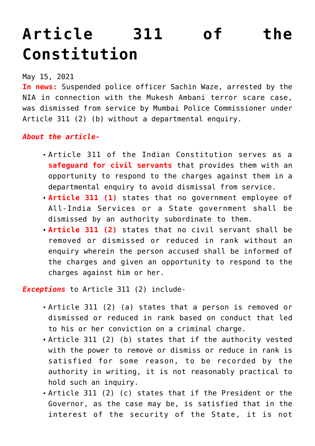## **[Article 311 of the](https://journalsofindia.com/article-311-of-the-constitution/) [Constitution](https://journalsofindia.com/article-311-of-the-constitution/)**

May 15, 2021

**In news:** Suspended police officer Sachin Waze, arrested by the NIA in connection with the Mukesh Ambani terror scare case, was dismissed from service by Mumbai Police Commissioner under Article 311 (2) (b) without a departmental enquiry.

## *About the article-*

- Article 311 of the Indian Constitution serves as a **safeguard for civil servants** that provides them with an opportunity to respond to the charges against them in a departmental enquiry to avoid dismissal from service.
- **Article 311 (1)** states that no government employee of All-India Services or a State government shall be dismissed by an authority subordinate to them.
- **Article 311 (2)** states that no civil servant shall be removed or dismissed or reduced in rank without an enquiry wherein the person accused shall be informed of the charges and given an opportunity to respond to the charges against him or her.

*Exceptions* to Article 311 (2) include-

- Article 311 (2) (a) states that a person is removed or dismissed or reduced in rank based on conduct that led to his or her conviction on a criminal charge.
- Article 311 (2) (b) states that if the authority vested with the power to remove or dismiss or reduce in rank is satisfied for some reason, to be recorded by the authority in writing, it is not reasonably practical to hold such an inquiry.
- Article 311 (2) (c) states that if the President or the Governor, as the case may be, is satisfied that in the interest of the security of the State, it is not